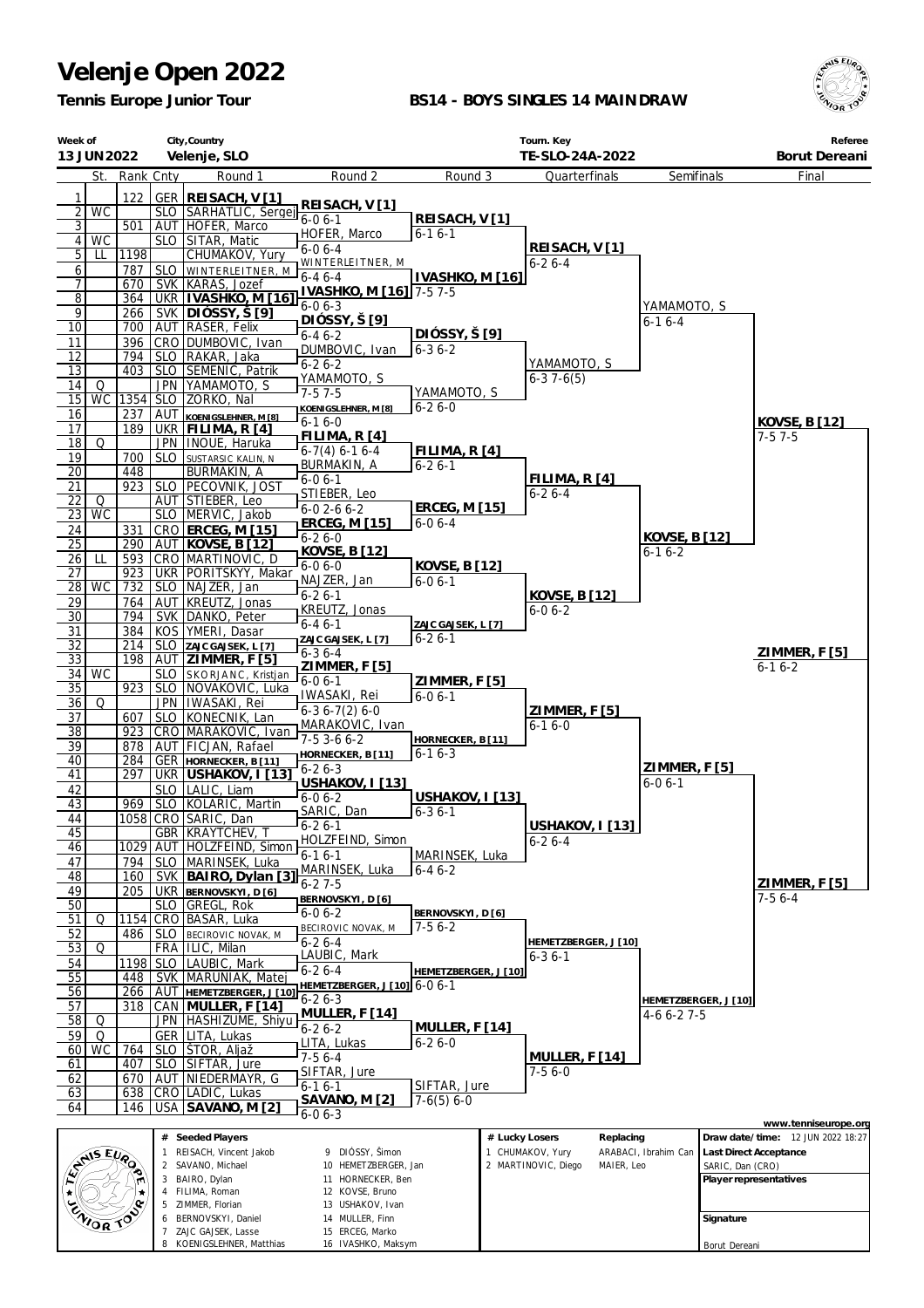*Tennis Europe Junior Tour*

#### **BS14 - BOYS SINGLES 14 MAINDRAW**



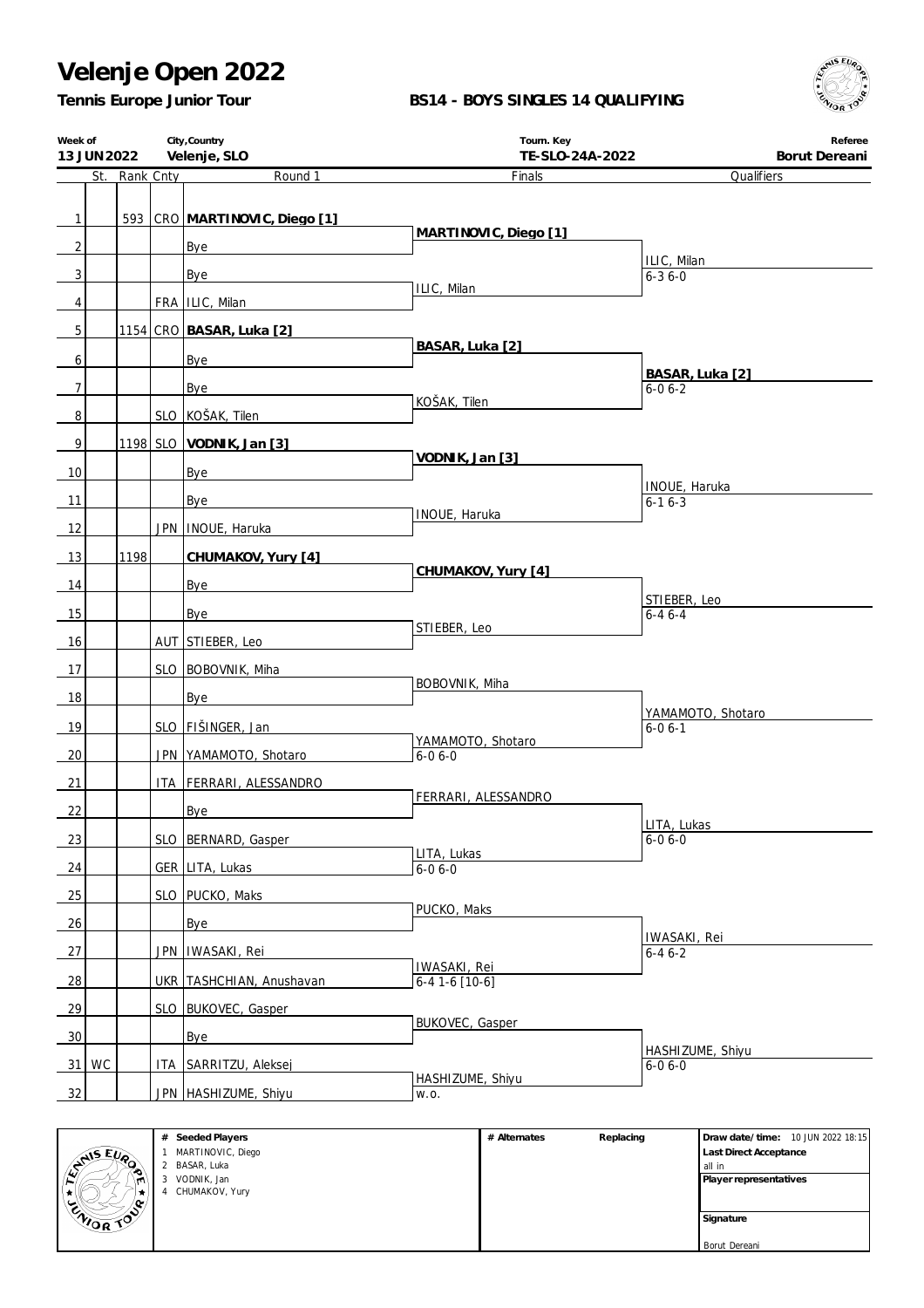**City,Country**

#### **BS14 - BOYS SINGLES 14 QUALIFYING**

**Tourn. Key**



**Referee**

| Tennis Europe Junior Tour |  |
|---------------------------|--|
|                           |  |

**Week of**

|                 | 13 JUN 2022 Velenje, SLO |               |  |                               | TE-SLO-24A-2022                   | Borut Dereani                     |
|-----------------|--------------------------|---------------|--|-------------------------------|-----------------------------------|-----------------------------------|
|                 |                          | St. Rank Cnty |  | Round 1                       | Finals                            | Qualifiers                        |
| $\mathbf{1}$    |                          |               |  | 593 CRO MARTINOVIC, Diego [1] |                                   |                                   |
| $\overline{2}$  |                          |               |  | Bye                           | MARTINOVIC, Diego [1]             |                                   |
| 3               |                          |               |  | Bye                           |                                   | ILIC, Milan<br>$6 - 36 - 0$       |
| 4               |                          |               |  | FRA   ILIC, Milan             | ILIC, Milan                       |                                   |
| 5               |                          |               |  | 1154 CRO BASAR, Luka [2]      |                                   |                                   |
| 6               |                          |               |  | Bye                           | BASAR, Luka [2]                   |                                   |
| $\overline{7}$  |                          |               |  | Bye                           |                                   | BASAR, Luka [2]<br>$6 - 06 - 2$   |
| $\overline{8}$  |                          |               |  | SLO KOŠAK, Tilen              | KOŠAK, Tilen                      |                                   |
| 9               |                          |               |  | 1198 SLO VODNIK, Jan [3]      |                                   |                                   |
| 10              |                          |               |  | Bye                           | VODNIK, Jan [3]                   |                                   |
| 11              |                          |               |  | Bye                           |                                   | INOUE, Haruka<br>$6 - 16 - 3$     |
| 12              |                          |               |  | JPN   INOUE, Haruka           | INOUE, Haruka                     |                                   |
|                 |                          |               |  |                               |                                   |                                   |
| 13              |                          | 1198          |  | CHUMAKOV, Yury [4]            | CHUMAKOV, Yury [4]                |                                   |
| 14              |                          |               |  | Bye                           |                                   | STIEBER, Leo                      |
| 15              |                          |               |  | Bye                           | STIEBER, Leo                      | $6 - 46 - 4$                      |
| 16              |                          |               |  | AUT STIEBER, Leo              |                                   |                                   |
| 17              |                          |               |  | SLO BOBOVNIK, Miha            |                                   |                                   |
| 18              |                          |               |  | Bye                           | BOBOVNIK, Miha                    |                                   |
| 19              |                          |               |  | SLO   FIŠINGER, Jan           |                                   | YAMAMOTO, Shotaro<br>$6 - 06 - 1$ |
| 20              |                          |               |  | JPN YAMAMOTO, Shotaro         | YAMAMOTO, Shotaro<br>$6 - 06 - 0$ |                                   |
| 21              |                          |               |  | ITA FERRARI, ALESSANDRO       |                                   |                                   |
| 22              |                          |               |  | Bye                           | FERRARI, ALESSANDRO               |                                   |
| 23              |                          |               |  | SLO BERNARD, Gasper           |                                   | LITA, Lukas<br>$6 - 06 - 0$       |
|                 |                          |               |  |                               | LITA, Lukas                       |                                   |
| 24              |                          |               |  | GER LITA, Lukas               | $6 - 06 - 0$                      |                                   |
| 25              |                          |               |  | SLO   PUCKO, Maks             | PUCKO, Maks                       |                                   |
| 26              |                          |               |  | Bye                           |                                   | IWASAKI, Rei                      |
| 27              |                          |               |  | JPN   IWASAKI, Rei            | IWASAKI, Rei                      | $6 - 46 - 2$                      |
| 28              |                          |               |  | UKR TASHCHIAN, Anushavan      | $6-41-6$ [10-6]                   |                                   |
| 29              |                          |               |  | SLO BUKOVEC, Gasper           |                                   |                                   |
| 30 <sup>°</sup> |                          |               |  | Bye                           | <b>BUKOVEC, Gasper</b>            |                                   |
|                 | $31$ WC                  |               |  | ITA SARRITZU, Aleksej         |                                   | HASHIZUME, Shiyu<br>$6 - 06 - 0$  |
| 32              |                          |               |  | JPN HASHIZUME, Shiyu          | HASHIZUME, Shiyu<br>W.O.          |                                   |
|                 |                          |               |  |                               |                                   |                                   |

| <b>ANSEURO</b> | $\overline{2}$ |
|----------------|----------------|
|                | 3              |
|                | 4              |
|                |                |
| <b>ENIOR</b>   |                |
|                |                |
|                |                |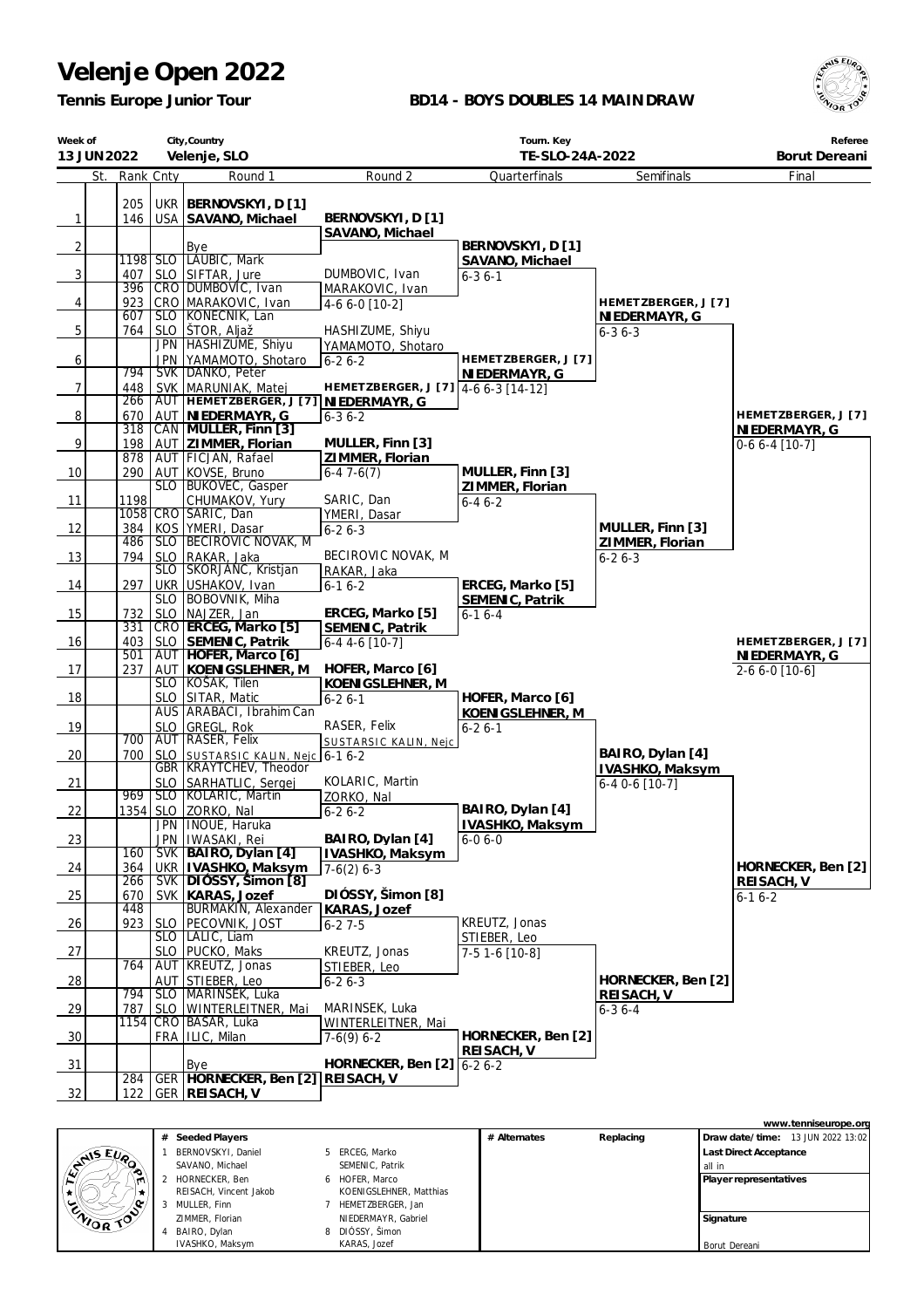*Tennis Europe Junior Tour*

### **BD14 - BOYS DOUBLES 14 MAINDRAW**



| City, Country<br>Week of<br>Velenje, SLO<br>13 JUN 2022 |            |                          | Tourn. Key<br>TE-SLO-24A-2022                          | Referee<br>Borut Dereani              |                                     |                                 |                     |
|---------------------------------------------------------|------------|--------------------------|--------------------------------------------------------|---------------------------------------|-------------------------------------|---------------------------------|---------------------|
| St.                                                     | Rank Cnty  |                          | Round 1                                                | Round 2                               | Quarterfinals                       | Semifinals                      | Final               |
|                                                         | 205        | <b>UKR</b>               | BERNOVSKYI, D[1]                                       |                                       |                                     |                                 |                     |
| $\mathbf{1}$                                            | 146        |                          | USA SAVANO, Michael                                    | BERNOVSKYI, D [1]                     |                                     |                                 |                     |
|                                                         |            |                          |                                                        | SAVANO, Michael                       |                                     |                                 |                     |
| $\sqrt{2}$                                              |            |                          | Bye                                                    |                                       | BERNOVSKYI, D [1]                   |                                 |                     |
| 3                                                       | 407        | <b>SLO</b>               | 1198 SLO   LAUBIC, Mark<br>SIFTAR, Jure                | DUMBOVIC, Ivan                        | SAVANO, Michael                     |                                 |                     |
|                                                         | 396        |                          | CRO DUMBOVIC, Ivan                                     | MARAKOVIC, Ivan                       | $6 - 36 - 1$                        |                                 |                     |
| 4                                                       | 923        |                          | CRO MARAKOVIC, Ivan                                    | 4-6 6-0 [10-2]                        |                                     | HEMETZBERGER, J [7]             |                     |
|                                                         | 607        |                          | SLO KONECNIK, Lan                                      |                                       |                                     | NIEDERMAYR, G                   |                     |
| 5                                                       | 764        | <b>SLO</b><br><b>JPN</b> | ŠTOR, Aljaž<br>HASHIZUME, Shiyu                        | HASHIZUME, Shiyu<br>YAMAMOTO, Shotaro |                                     | $6 - 36 - 3$                    |                     |
| 6                                                       |            | <b>JPN</b>               | YAMAMOTO, Shotaro                                      | $6 - 26 - 2$                          | HEMETZBERGER, J [7]                 |                                 |                     |
|                                                         | 794        |                          | SVK   DANKO, Peter                                     |                                       | NIEDERMAYR, G                       |                                 |                     |
| $\overline{7}$                                          | 448        |                          | SVK MARUNIAK, Matej                                    | HEMETZBERGER, J [7] 4-6 6-3 [14-12]   |                                     |                                 |                     |
| $\overline{8}$                                          | 266<br>670 | AUT                      | AUT HEMETZBERGER, J [7] NIEDERMAYR, G<br>NIEDERMAYR, G | $6 - 36 - 2$                          |                                     |                                 | HEMETZBERGER, J [7] |
|                                                         | 318        |                          | CAN MULLER, Finn [3]                                   |                                       |                                     |                                 | NIEDERMAYR, G       |
| 9                                                       | 198        |                          | AUT ZIMMER, Florian                                    | MULLER, Finn [3]                      |                                     |                                 | $0-66-4$ [10-7]     |
|                                                         | 878        |                          | AUT FICJAN, Rafael                                     | ZIMMER, Florian                       |                                     |                                 |                     |
| 10                                                      | 290        | <b>SLO</b>               | AUT KOVSE, Bruno<br><b>BUKOVEC, Gasper</b>             | $6-47-6(7)$                           | MULLER, Finn [3]<br>ZIMMER, Florian |                                 |                     |
| 11                                                      | 1198       |                          | CHUMAKOV, Yury                                         | SARIC, Dan                            | $6 - 46 - 2$                        |                                 |                     |
|                                                         |            |                          | 1058 CRO SARIC, Dan                                    | YMERI, Dasar                          |                                     |                                 |                     |
| 12                                                      | 384<br>486 |                          | KOS YMERI, Dasar<br>SLO BECIROVIC NOVAK, M             | $6 - 26 - 3$                          |                                     | MULLER, Finn [3]                |                     |
| 13                                                      | 794        | <b>SLO</b>               | RAKAR, Jaka                                            | BECIROVIC NOVAK, M                    |                                     | ZIMMER, Florian<br>$6 - 26 - 3$ |                     |
|                                                         |            |                          | SLO SKORJANC, Kristjan                                 | RAKAR, Jaka                           |                                     |                                 |                     |
| 14                                                      | 297        |                          | UKR USHAKOV, Ivan                                      | $6 - 16 - 2$                          | ERCEG, Marko [5]                    |                                 |                     |
|                                                         |            |                          | SLO   BOBOVNIK, Miha                                   | ERCEG, Marko [5]                      | SEMENIC, Patrik                     |                                 |                     |
| 15                                                      | 732<br>331 | <b>SLO</b>               | NAJZER, Jan<br>CRO ERCEG, Marko [5]                    | SEMENIC, Patrik                       | $6 - 16 - 4$                        |                                 |                     |
| 16                                                      | 403        |                          | SLO SEMENIC, Patrik                                    | $6-44-6$ [10-7]                       |                                     |                                 | HEMETZBERGER, J [7] |
|                                                         | 501        |                          | AUT HOFER, Marco [6]                                   |                                       |                                     |                                 | NIEDERMAYR, G       |
| 17                                                      | 237        |                          | AUT KOENIGSLEHNER, M<br>SLO KOSAK, Tilen               | HOFER, Marco [6]<br>KOENIGSLEHNER, M  |                                     |                                 | $2-66-0$ [10-6]     |
| 18                                                      |            |                          | SLO SITAR, Matic                                       | $6 - 26 - 1$                          | HOFER, Marco [6]                    |                                 |                     |
|                                                         |            |                          | AUS ARABACI, Ibrahim Can                               |                                       | KOENIGSLEHNER, M                    |                                 |                     |
| 19                                                      | 700        | <b>SLO</b>               | GREGL, Rok<br>AUT RASER, Felix                         | RASER, Felix                          | $6 - 26 - 1$                        |                                 |                     |
| 20                                                      | 700        |                          | SLO SUSTARSIC KALIN, Nejc 6-1 6-2                      | SUSTARSIC KALIN, Nejc                 |                                     | BAIRO, Dylan [4]                |                     |
|                                                         |            |                          | <b>GBR KRAYTCHEV, Theodor</b>                          |                                       |                                     | IVASHKO, Maksym                 |                     |
| 21                                                      |            | <b>SLO</b>               | SARHATLIC, Sergej                                      | KOLARIC, Martin                       |                                     | $6-40-6$ [10-7]                 |                     |
| 22                                                      | 969        |                          | SLO KOLARIC, Martin<br>1354 SLO ZORKO, Nal             | ZORKO, Nal<br>$6 - 26 - 2$            | BAIRO, Dylan [4]                    |                                 |                     |
|                                                         |            |                          | JPN   INOUE, Haruka                                    |                                       | IVASHKO, Maksym                     |                                 |                     |
| 23                                                      |            |                          | JPN   IWASAKI, Rei                                     | BAIRO, Dylan [4]                      | $6 - 06 - 0$                        |                                 |                     |
|                                                         | 160        |                          | SVK   BAIRO, Dylan [4]                                 | IVASHKO, Maksym                       |                                     |                                 | HORNECKER, Ben [2]  |
| 24                                                      | 364<br>266 |                          | UKR   IVASHKO, Maksym<br>SVK   DIOSSY, Simon [8]       | $7-6(2)$ 6-3                          |                                     |                                 | REISACH, V          |
| 25                                                      | 670        |                          | SVK   KARAS, Jozef                                     | DIÓSSY, Šimon [8]                     |                                     |                                 | $6 - 16 - 2$        |
|                                                         | 448        |                          | <b>BURMAKIN, Alexander</b>                             | KARAS, Jozef                          |                                     |                                 |                     |
| 26                                                      | 923        | <b>SLO</b>               | PECOVNIK, JOST<br>SLO   LALIC, Liam                    | $6 - 27 - 5$                          | KREUTZ, Jonas<br>STIEBER, Leo       |                                 |                     |
| 27                                                      |            | SLO.                     | PUCKO, Maks                                            | KREUTZ, Jonas                         | 7-5 1-6 [10-8]                      |                                 |                     |
|                                                         | 764        |                          | AUT   KREUTZ, Jonas                                    | STIEBER, Leo                          |                                     |                                 |                     |
| 28                                                      | 794        | AUT<br><b>SLO</b>        | STIEBER, Leo<br>MARINSEK, Luka                         | $6 - 26 - 3$                          |                                     | HORNECKER, Ben [2]              |                     |
| <u>29</u>                                               | 787        | <b>SLO</b>               | WINTERLEITNER, Mai                                     | MARINSEK, Luka                        |                                     | REISACH, V<br>$6 - 36 - 4$      |                     |
|                                                         | 1154       |                          | CRO BASAR, Luka                                        | WINTERLEITNER, Mai                    |                                     |                                 |                     |
| 30                                                      |            |                          | FRA   ILIC, Milan                                      | $7-6(9)$ 6-2                          | HORNECKER, Ben [2]                  |                                 |                     |
| 31                                                      |            |                          | Bye                                                    | HORNECKER, Ben [2] 6-2 6-2            | REISACH, V                          |                                 |                     |
|                                                         | 284        |                          | GER   HORNECKER, Ben [2]   REISACH, V                  |                                       |                                     |                                 |                     |
| 32                                                      | 122        |                          | <b>GER REISACH, V</b>                                  |                                       |                                     |                                 |                     |

|                  |                        |                         |              |           |                                   | www.tenniseurope.org |
|------------------|------------------------|-------------------------|--------------|-----------|-----------------------------------|----------------------|
|                  | # Seeded Players       |                         | # Alternates | Replacing | Draw date/time: 13 JUN 2022 13:02 |                      |
|                  | BERNOVSKYI, Daniel     | 5 ERCEG, Marko          |              |           | <b>Last Direct Acceptance</b>     |                      |
| <b>ANSEUP</b>    | SAVANO, Michael        | SEMENIC, Patrik         |              |           | all in                            |                      |
| m                | 2 HORNECKER, Ben       | 6 HOFER, Marco          |              |           | Player representatives            |                      |
|                  | REISACH, Vincent Jakob | KOENIGSLEHNER, Matthias |              |           |                                   |                      |
| .c<br>پ          | MULLER, Finn           | HEMETZBERGER, Jan       |              |           |                                   |                      |
| <b>CAIOR TOO</b> | ZIMMER, Florian        | NIEDERMAYR, Gabriel     |              |           | Signature                         |                      |
|                  | BAIRO, Dylan           | 8 DIÓSSY, Šimon         |              |           |                                   |                      |
|                  | IVASHKO, Maksym        | KARAS, Jozef            |              |           | Borut Dereani                     |                      |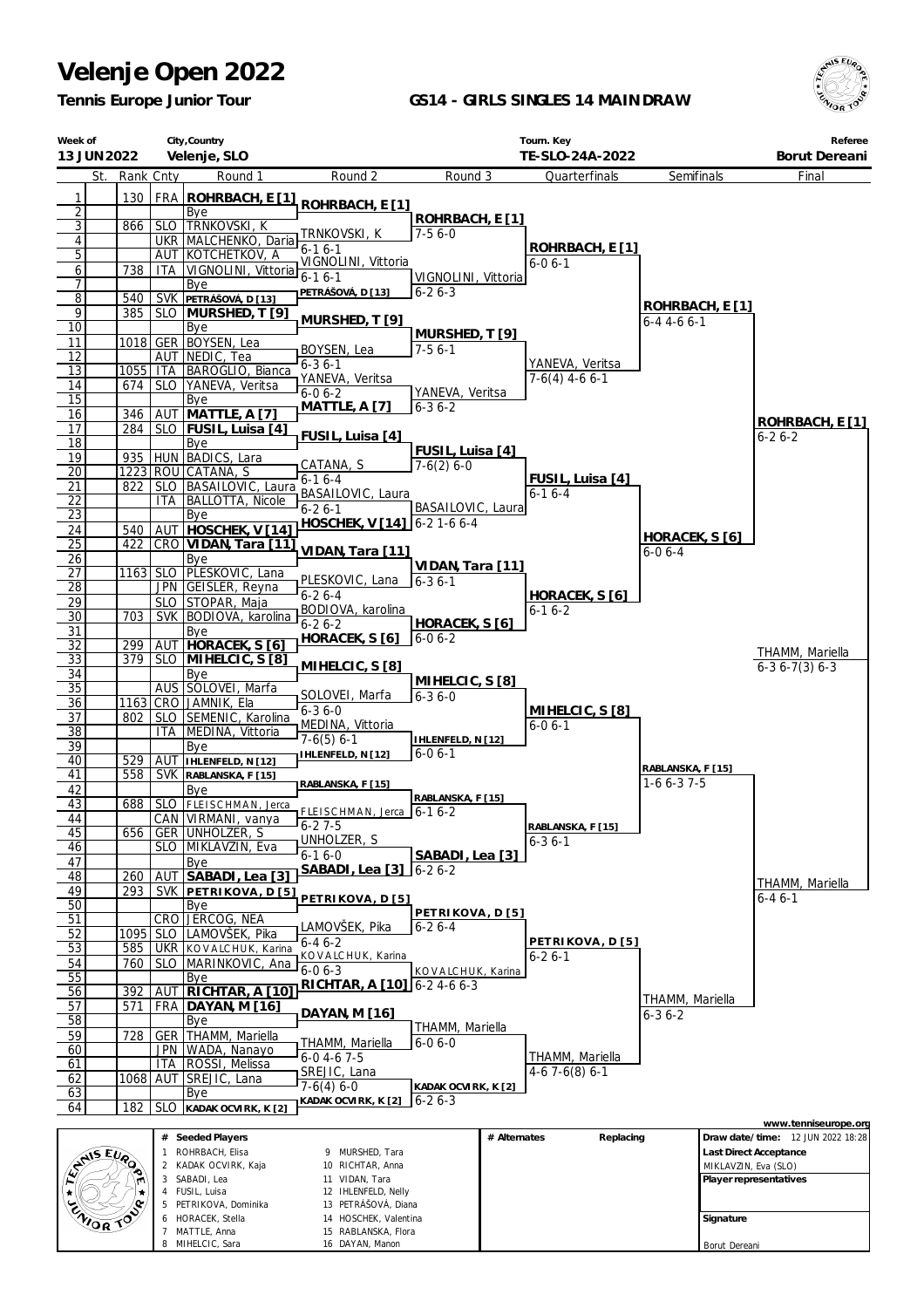7 MATTLE, Anna 8 MIHELCIC, Sara

15 RABLANSKA, Flora 16 DAYAN, Manon

*Tennis Europe Junior Tour*

### **GS14 - GIRLS SINGLES 14 MAINDRAW**



Borut Dereani

| Week of                      | 13 JUN 2022 |            |            | City, Country<br>Velenje, SLO                      |                                             |                                     |              | Tourn. Key<br>TE-SLO-24A-2022   |                                  |                      | Referee<br>Borut Dereani                                  |
|------------------------------|-------------|------------|------------|----------------------------------------------------|---------------------------------------------|-------------------------------------|--------------|---------------------------------|----------------------------------|----------------------|-----------------------------------------------------------|
|                              | St.         | Rank Cnty  |            | Round 1                                            | Round 2                                     | Round 3                             |              | Quarterfinals                   | Semifinals                       |                      | Final                                                     |
| 1                            |             | 130        |            | FRA ROHRBACH, E [1]                                |                                             |                                     |              |                                 |                                  |                      |                                                           |
| $\overline{2}$               |             |            |            | Bye                                                | ROHRBACH, E [1]                             | ROHRBACH, E [1]                     |              |                                 |                                  |                      |                                                           |
| $\overline{3}$               |             | 866        |            | SLO TRNKOVSKI, K                                   | TRNKOVSKI, K                                | $7-56-0$                            |              |                                 |                                  |                      |                                                           |
| $\overline{\mathbf{4}}$<br>5 |             |            |            | UKR MALCHENKO, Daria<br>AUT KOTCHETKOV, A          | $6 - 16 - 1$                                |                                     |              | ROHRBACH, E [1]                 |                                  |                      |                                                           |
| 6                            |             | 738        | ITA        | VIGNOLINI, Vittoria 6-1 6-1                        | VIGNOLINI, Vittoria                         |                                     |              | $6 - 06 - 1$                    |                                  |                      |                                                           |
| 7                            |             |            |            | Bye                                                | PETRÁŠOVÁ, D [13]                           | VIGNOLINI, Vittoria<br>$6 - 26 - 3$ |              |                                 |                                  |                      |                                                           |
| 8<br>9                       |             | 540<br>385 |            | SVK PETRAŠOVÁ, D [13]<br>SLO MURSHED, T [9]        |                                             |                                     |              |                                 | ROHRBACH, E [1]                  |                      |                                                           |
| $\overline{10}$              |             |            |            | Bye                                                | MURSHED, T [9]                              |                                     |              |                                 | $6 - 4$ 4 - 6 6 - 1              |                      |                                                           |
| 11                           |             |            |            | 1018 GER BOYSEN, Lea                               | BOYSEN, Lea                                 | MURSHED, T [9]<br>$7-56-1$          |              |                                 |                                  |                      |                                                           |
| 12<br>13                     |             |            |            | AUT NEDIC, Tea<br>1055   ITA   BAROGLIO, Bianca    | $6 - 36 - 1$                                |                                     |              | YANEVA, Veritsa                 |                                  |                      |                                                           |
| 14                           |             | 674        |            | SLO   YANEVA, Veritsa                              | YANEVA, Veritsa                             |                                     |              | $7-6(4)$ 4-6 6-1                |                                  |                      |                                                           |
| $\overline{15}$              |             |            |            | Bye                                                | $6 - 06 - 2$<br><b>MATTLE, A [7]</b>        | YANEVA, Veritsa<br>$6 - 36 - 2$     |              |                                 |                                  |                      |                                                           |
| 16                           |             | 346        | AUT        | MATTLE, A [7]                                      |                                             |                                     |              |                                 |                                  |                      | ROHRBACH, E [1]                                           |
| 17<br>18                     |             |            |            | 284   SLO   FUSIL, Luisa [4]<br>Bye                | FUSIL, Luisa [4]                            |                                     |              |                                 |                                  |                      | $6 - 26 - 2$                                              |
| 19                           |             |            |            | 935   HUN   BADICS, Lara                           | CATANA, S                                   | FUSIL, Luisa [4]<br>$7-6(2)$ 6-0    |              |                                 |                                  |                      |                                                           |
| 20                           |             |            |            | 1223 ROU CATANA, S                                 | $6 - 16 - 4$                                |                                     |              | FUSIL, Luisa [4]                |                                  |                      |                                                           |
| 21<br>22                     |             | 822        | ITA        | SLO   BASAILOVIC, Laura<br><b>BALLOTTA, Nicole</b> | BASAILOVIC, Laura                           |                                     |              | $6-16-4$                        |                                  |                      |                                                           |
| $\overline{23}$              |             |            |            | Bye                                                | $6 - 26 - 1$                                | BASAILOVIC, Laura                   |              |                                 |                                  |                      |                                                           |
| 24                           |             | 540        |            | AUT HOSCHEK, V [14]                                | HOSCHEK, V [14] 6-2 1-6 6-4                 |                                     |              |                                 | HORACEK, S [6]                   |                      |                                                           |
| $\overline{25}$              |             | 422        |            | CRO VIDAN, Tara [11]                               | VIDAN, Tara [11]                            |                                     |              |                                 | $6 - 06 - 4$                     |                      |                                                           |
| 26<br>$\overline{27}$        |             |            |            | Bye<br>1163 SLO PLESKOVIC, Lana                    |                                             | VIDAN, Tara [11]                    |              |                                 |                                  |                      |                                                           |
| 28                           |             |            |            | JPN GEISLER, Reyna                                 | PLESKOVIC, Lana<br>$6 - 26 - 4$             | $6 - 36 - 1$                        |              |                                 |                                  |                      |                                                           |
| 29                           |             |            |            | SLO STOPAR, Maja                                   | BODIOVA, karolina                           |                                     |              | HORACEK, S [6]<br>$6 - 16 - 2$  |                                  |                      |                                                           |
| 30<br>31                     |             | 703        |            | SVK BODIOVA, karolina<br>Bye                       | $6 - 26 - 2$                                | HORACEK, S [6]                      |              |                                 |                                  |                      |                                                           |
| 32                           |             | 299        |            | AUT HORACEK, S [6]                                 | HORACEK, S [6]                              | $6 - 06 - 2$                        |              |                                 |                                  |                      |                                                           |
| $\overline{33}$              |             | 379        |            | SLO MIHELCIC, S [8]                                | MIHELCIC, S [8]                             |                                     |              |                                 |                                  |                      | THAMM, Mariella<br>$6-36-7(3)6-3$                         |
| 34<br>35                     |             |            |            | Bye<br>AUS SOLOVEI, Marfa                          |                                             | MIHELCIC, S[8]                      |              |                                 |                                  |                      |                                                           |
| 36                           |             |            |            | 1163 CRO JAMNIK, Ela                               | SOLOVEI, Marfa                              | $6 - 36 - 0$                        |              |                                 |                                  |                      |                                                           |
| $\overline{37}$              |             | 802        |            | SLO SEMENIC, Karolina                              | $6 - 36 - 0$<br>MEDINA, Vittoria            |                                     |              | MIHELCIC, S [8]<br>$6 - 06 - 1$ |                                  |                      |                                                           |
| $\overline{38}$              |             |            |            | ITA   MEDINA, Vittoria                             | $7-6(5)$ 6-1                                | IHLENFELD, N [12]                   |              |                                 |                                  |                      |                                                           |
| 39<br>40                     |             | 529        |            | Bye<br>AUT IHLENFELD, N [12]                       | IHLENFELD, N [12]                           | $6 - 06 - 1$                        |              |                                 |                                  |                      |                                                           |
| 41                           |             | 558        |            | SVK RABLANSKA, F [15]                              |                                             |                                     |              |                                 | RABLANSKA, F [15]<br>$1-66-37-5$ |                      |                                                           |
| 42                           |             |            |            | Bye                                                | RABLANSKA, F [15]                           | RABLANSKA, F [15]                   |              |                                 |                                  |                      |                                                           |
| 43<br>44                     |             | 688        |            | SLO FLEISCHMAN, Jerca<br>CAN VIRMANI, vanya        | FLEISCHMAN, Jerca   6-1 6-2                 |                                     |              |                                 |                                  |                      |                                                           |
| 45                           |             | 656        |            | GER UNHOLZER, S                                    | $6 - 27 - 5$<br>UNHOLZER, S                 |                                     |              | RABLANSKA, F [15]               |                                  |                      |                                                           |
| 46                           |             |            |            | SLO MIKLAVZIN, Eva                                 | $6 - 16 - 0$                                | SABADI, Lea [3]                     |              | $6 - 36 - 1$                    |                                  |                      |                                                           |
| 47<br>48                     |             | 260        |            | Bye<br>AUT SABADI, Lea [3]                         | SABADI, Lea [3]                             | $16-26-2$                           |              |                                 |                                  |                      |                                                           |
| 49                           |             | 293        |            | SVK PETRIKOVA, D[5]                                |                                             |                                     |              |                                 |                                  |                      | THAMM, Mariella                                           |
| 50                           |             |            |            | Bye                                                | PETRIKOVA, D [5]                            | PETRIKOVA, D [5]                    |              |                                 |                                  |                      | $6 - 46 - 1$                                              |
| 51<br>52                     |             | 1095       |            | CRO JERCOG, NEA<br>SLO LAMOVŠEK, Pika              | LAMOVŠEK, Pika                              | $6 - 26 - 4$                        |              |                                 |                                  |                      |                                                           |
| 53                           |             | 585        |            | UKR   KOVALCHUK, Karina                            | $6 - 46 - 2$                                |                                     |              | PETRIKOVA, D [5]                |                                  |                      |                                                           |
| 54                           |             | 760        |            | SLO MARINKOVIC, Ana                                | KOVALCHUK, Karina<br>$6 - 06 - 3$           | KOVALCHUK, Karina                   |              | $6 - 26 - 1$                    |                                  |                      |                                                           |
| 55                           |             |            |            | Bye                                                | RICHTAR, A [10] 6-2 4-6 6-3                 |                                     |              |                                 |                                  |                      |                                                           |
| 56<br>57                     |             | 392<br>571 | AUT<br>FRA | RICHTAR, A [10]<br>DAYAN, M [16]                   |                                             |                                     |              |                                 | THAMM, Mariella                  |                      |                                                           |
| 58                           |             |            |            | Bye                                                | DAYAN, M [16]                               |                                     |              |                                 | 6-3 6-2                          |                      |                                                           |
| 59                           |             | 728        | GER        | THAMM, Mariella                                    | THAMM, Mariella                             | THAMM, Mariella<br>$6 - 06 - 0$     |              |                                 |                                  |                      |                                                           |
| 60<br>61                     |             |            | <b>ITA</b> | JPN   WADA, Nanayo<br>ROSSI, Melissa               | $6 - 0$ 4 $-6$ 7 $-5$                       |                                     |              | THAMM, Mariella                 |                                  |                      |                                                           |
| 62                           |             |            |            | 1068 AUT SREJIC, Lana                              | <b>SREJIC, Lana</b>                         |                                     |              | $4-67-6(8)6-1$                  |                                  |                      |                                                           |
| 63                           |             |            |            | Bye                                                | $7-6(4)$ 6-0<br>KADAK OCVIRK, K [2]         | KADAK OCVIRK, K [2]<br>$6 - 26 - 3$ |              |                                 |                                  |                      |                                                           |
| 64                           |             | 182        | <b>SLO</b> | KADAK OCVIRK, K [2]                                |                                             |                                     |              |                                 |                                  |                      |                                                           |
|                              |             |            |            | # Seeded Players                                   |                                             |                                     | # Alternates | Replacing                       |                                  |                      | www.tenniseurope.org<br>Draw date/time: 12 JUN 2022 18:28 |
|                              |             |            | 1          | ROHRBACH, Elisa                                    | 9 MURSHED, Tara                             |                                     |              |                                 |                                  |                      | Last Direct Acceptance                                    |
|                              | EVAIS EVAD  |            |            | 2 KADAK OCVIRK, Kaja                               | 10 RICHTAR, Anna                            |                                     |              |                                 |                                  | MIKLAVZIN, Eva (SLO) |                                                           |
|                              |             |            |            | 3 SABADI, Lea<br>4 FUSIL, Luisa                    | 11 VIDAN, Tara<br>12 IHLENFELD, Nelly       |                                     |              |                                 |                                  |                      | Player representatives                                    |
|                              |             |            |            | 5 PETRIKOVA, Dominika                              | 13 PETRÁŠOVÁ, Diana                         |                                     |              |                                 |                                  |                      |                                                           |
|                              | ZNIOR TO    |            |            | HORACEK, Stella<br>7 MATTLE Anna                   | 14 HOSCHEK, Valentina<br>15 RABLANSKA Flora |                                     |              |                                 |                                  | Signature            |                                                           |